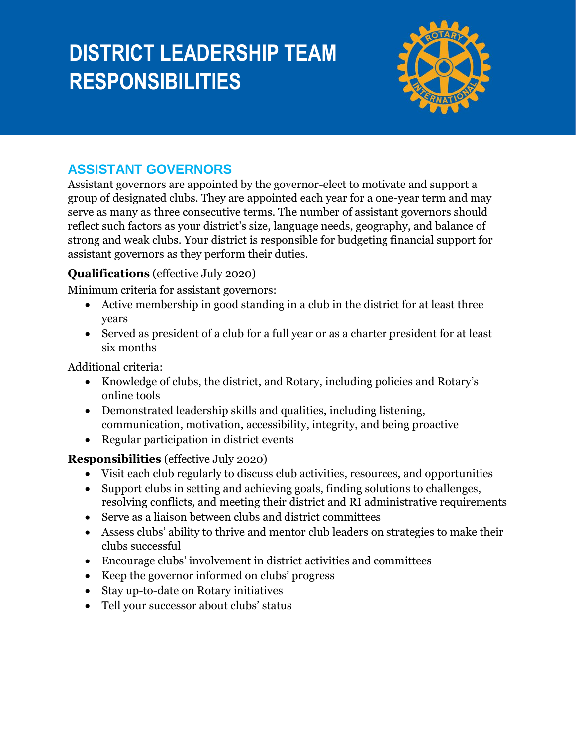# **DISTRICT LEADERSHIP TEAM RESPONSIBILITIES**



## **ASSISTANT GOVERNORS**

Assistant governors are appointed by the governor-elect to motivate and support a group of designated clubs. They are appointed each year for a one-year term and may serve as many as three consecutive terms. The number of assistant governors should reflect such factors as your district's size, language needs, geography, and balance of strong and weak clubs. Your district is responsible for budgeting financial support for assistant governors as they perform their duties.

## **Qualifications** (effective July 2020)

Minimum criteria for assistant governors:

- Active membership in good standing in a club in the district for at least three years
- Served as president of a club for a full year or as a charter president for at least six months

Additional criteria:

- Knowledge of clubs, the district, and Rotary, including policies and Rotary's online tools
- Demonstrated leadership skills and qualities, including listening, communication, motivation, accessibility, integrity, and being proactive
- Regular participation in district events

#### **Responsibilities** (effective July 2020)

- Visit each club regularly to discuss club activities, resources, and opportunities
- Support clubs in setting and achieving goals, finding solutions to challenges, resolving conflicts, and meeting their district and RI administrative requirements
- Serve as a liaison between clubs and district committees
- Assess clubs' ability to thrive and mentor club leaders on strategies to make their clubs successful
- Encourage clubs' involvement in district activities and committees
- Keep the governor informed on clubs' progress
- Stay up-to-date on Rotary initiatives
- Tell your successor about clubs' status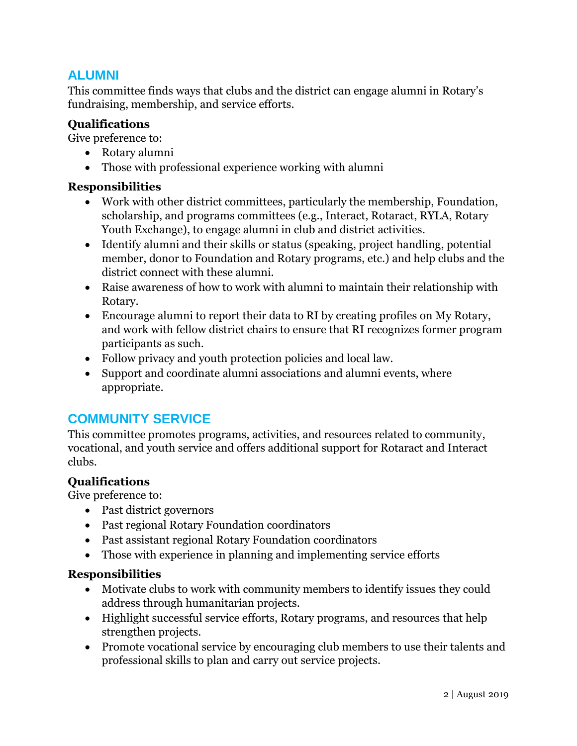## **ALUMNI**

This committee finds ways that clubs and the district can engage alumni in Rotary's fundraising, membership, and service efforts.

#### **Qualifications**

Give preference to:

- Rotary alumni
- Those with professional experience working with alumni

#### **Responsibilities**

- Work with other district committees, particularly the membership, Foundation, scholarship, and programs committees (e.g., Interact, Rotaract, RYLA, Rotary Youth Exchange), to engage alumni in club and district activities.
- Identify alumni and their skills or status (speaking, project handling, potential member, donor to Foundation and Rotary programs, etc.) and help clubs and the district connect with these alumni.
- Raise awareness of how to work with alumni to maintain their relationship with Rotary.
- Encourage alumni to report their data to RI by creating profiles on My Rotary, and work with fellow district chairs to ensure that RI recognizes former program participants as such.
- Follow privacy and youth protection policies and local law.
- Support and coordinate alumni associations and alumni events, where appropriate.

## **COMMUNITY SERVICE**

This committee promotes programs, activities, and resources related to community, vocational, and youth service and offers additional support for Rotaract and Interact clubs.

#### **Qualifications**

Give preference to:

- Past district governors
- Past regional Rotary Foundation coordinators
- Past assistant regional Rotary Foundation coordinators
- Those with experience in planning and implementing service efforts

- Motivate clubs to work with community members to identify issues they could address through humanitarian projects.
- Highlight successful service efforts, Rotary programs, and resources that help strengthen projects.
- Promote vocational service by encouraging club members to use their talents and professional skills to plan and carry out service projects.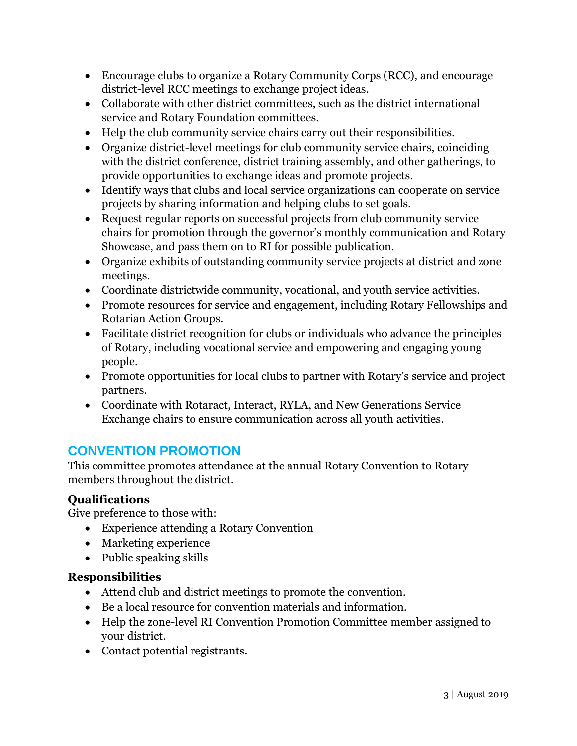- Encourage clubs to organize a Rotary Community Corps (RCC), and encourage district-level RCC meetings to exchange project ideas.
- Collaborate with other district committees, such as the district international service and Rotary Foundation committees.
- Help the club community service chairs carry out their responsibilities.
- Organize district-level meetings for club community service chairs, coinciding with the district conference, district training assembly, and other gatherings, to provide opportunities to exchange ideas and promote projects.
- Identify ways that clubs and local service organizations can cooperate on service projects by sharing information and helping clubs to set goals.
- Request regular reports on successful projects from club community service chairs for promotion through the governor's monthly communication and Rotary Showcase, and pass them on to RI for possible publication.
- Organize exhibits of outstanding community service projects at district and zone meetings.
- Coordinate districtwide community, vocational, and youth service activities.
- Promote resources for service and engagement, including Rotary Fellowships and Rotarian Action Groups.
- Facilitate district recognition for clubs or individuals who advance the principles of Rotary, including vocational service and empowering and engaging young people.
- Promote opportunities for local clubs to partner with Rotary's service and project partners.
- Coordinate with Rotaract, Interact, RYLA, and New Generations Service Exchange chairs to ensure communication across all youth activities.

## **CONVENTION PROMOTION**

This committee promotes attendance at the annual Rotary Convention to Rotary members throughout the district.

#### **Qualifications**

Give preference to those with:

- Experience attending a Rotary Convention
- Marketing experience
- Public speaking skills

- Attend club and district meetings to promote the convention.
- Be a local resource for convention materials and information.
- Help the zone-level RI Convention Promotion Committee member assigned to your district.
- Contact potential registrants.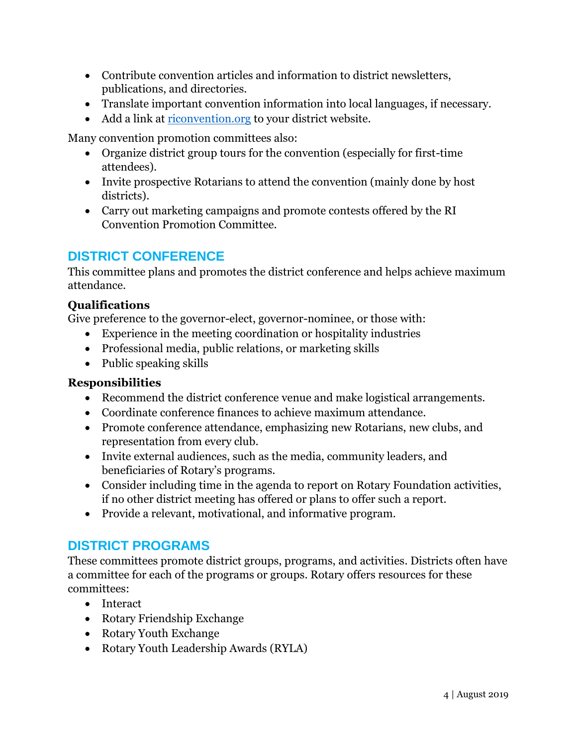- Contribute convention articles and information to district newsletters, publications, and directories.
- Translate important convention information into local languages, if necessary.
- Add a link at [riconvention.org](http://www.riconvention.org/) to your district website.

Many convention promotion committees also:

- Organize district group tours for the convention (especially for first-time attendees).
- Invite prospective Rotarians to attend the convention (mainly done by host districts).
- Carry out marketing campaigns and promote contests offered by the RI Convention Promotion Committee.

## **DISTRICT CONFERENCE**

This committee plans and promotes the district conference and helps achieve maximum attendance.

#### **Qualifications**

Give preference to the governor-elect, governor-nominee, or those with:

- Experience in the meeting coordination or hospitality industries
- Professional media, public relations, or marketing skills
- Public speaking skills

#### **Responsibilities**

- Recommend the district conference venue and make logistical arrangements.
- Coordinate conference finances to achieve maximum attendance.
- Promote conference attendance, emphasizing new Rotarians, new clubs, and representation from every club.
- Invite external audiences, such as the media, community leaders, and beneficiaries of Rotary's programs.
- Consider including time in the agenda to report on Rotary Foundation activities, if no other district meeting has offered or plans to offer such a report.
- Provide a relevant, motivational, and informative program.

## **DISTRICT PROGRAMS**

These committees promote district groups, programs, and activities. Districts often have a committee for each of the programs or groups. Rotary offers resources for these committees:

- Interact
- Rotary Friendship Exchange
- Rotary Youth Exchange
- Rotary Youth Leadership Awards (RYLA)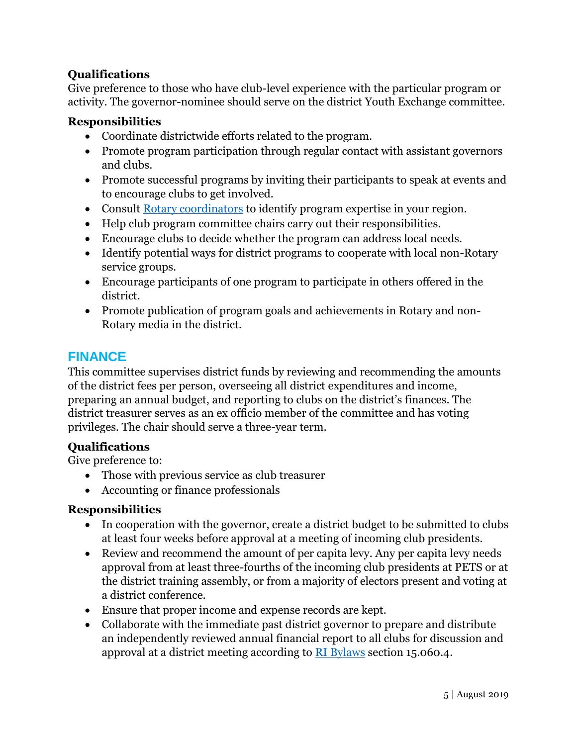#### **Qualifications**

Give preference to those who have club-level experience with the particular program or activity. The governor-nominee should serve on the district Youth Exchange committee.

#### **Responsibilities**

- Coordinate districtwide efforts related to the program.
- Promote program participation through regular contact with assistant governors and clubs.
- Promote successful programs by inviting their participants to speak at events and to encourage clubs to get involved.
- Consult [Rotary coordinators](http://www.rotary.org/myrotary/en/regionalleaders) to identify program expertise in your region.
- Help club program committee chairs carry out their responsibilities.
- Encourage clubs to decide whether the program can address local needs.
- Identify potential ways for district programs to cooperate with local non-Rotary service groups.
- Encourage participants of one program to participate in others offered in the district.
- Promote publication of program goals and achievements in Rotary and non-Rotary media in the district.

## **FINANCE**

This committee supervises district funds by reviewing and recommending the amounts of the district fees per person, overseeing all district expenditures and income, preparing an annual budget, and reporting to clubs on the district's finances. The district treasurer serves as an ex officio member of the committee and has voting privileges. The chair should serve a three-year term.

#### **Qualifications**

Give preference to:

- Those with previous service as club treasurer
- Accounting or finance professionals

- In cooperation with the governor, create a district budget to be submitted to clubs at least four weeks before approval at a meeting of incoming club presidents.
- Review and recommend the amount of per capita levy. Any per capita levy needs approval from at least three-fourths of the incoming club presidents at PETS or at the district training assembly, or from a majority of electors present and voting at a district conference.
- Ensure that proper income and expense records are kept.
- Collaborate with the immediate past district governor to prepare and distribute an independently reviewed annual financial report to all clubs for discussion and approval at a district meeting according to **RI Bylaws** section 15.060.4.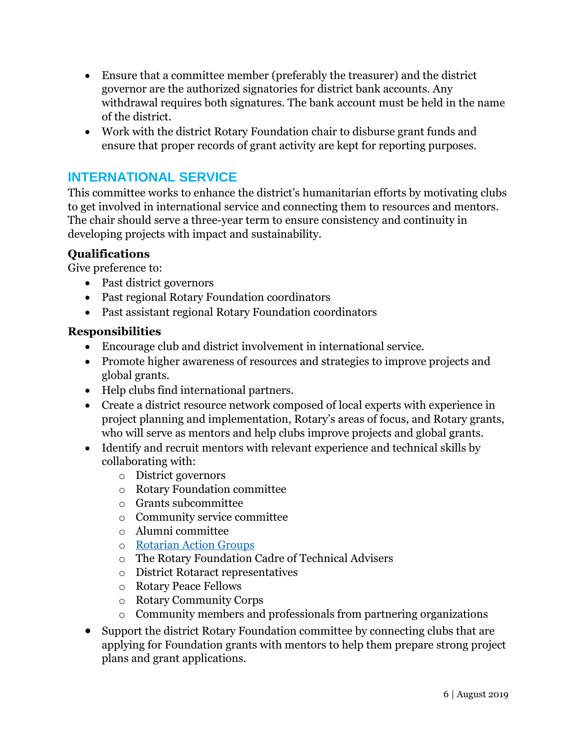- Ensure that a committee member (preferably the treasurer) and the district governor are the authorized signatories for district bank accounts. Any withdrawal requires both signatures. The bank account must be held in the name of the district.
- Work with the district Rotary Foundation chair to disburse grant funds and ensure that proper records of grant activity are kept for reporting purposes.

## **INTERNATIONAL SERVICE**

This committee works to enhance the district's humanitarian efforts by motivating clubs to get involved in international service and connecting them to resources and mentors. The chair should serve a three-year term to ensure consistency and continuity in developing projects with impact and sustainability.

#### **Qualifications**

Give preference to:

- Past district governors
- Past regional Rotary Foundation coordinators
- Past assistant regional Rotary Foundation coordinators

- Encourage club and district involvement in international service.
- Promote higher awareness of resources and strategies to improve projects and global grants.
- Help clubs find international partners.
- Create a district resource network composed of local experts with experience in project planning and implementation, Rotary's areas of focus, and Rotary grants, who will serve as mentors and help clubs improve projects and global grants.
- Identify and recruit mentors with relevant experience and technical skills by collaborating with:
	- o District governors
	- o Rotary Foundation committee
	- o Grants subcommittee
	- o Community service committee
	- o Alumni committee
	- o [Rotarian Action Groups](https://www.rotary.org/myrotary/en/take-action/empower-leaders/join-rotarian-action-group)
	- o The Rotary Foundation Cadre of Technical Advisers
	- o District Rotaract representatives
	- o Rotary Peace Fellows
	- o Rotary Community Corps
	- o Community members and professionals from partnering organizations
- Support the district Rotary Foundation committee by connecting clubs that are applying for Foundation grants with mentors to help them prepare strong project plans and grant applications.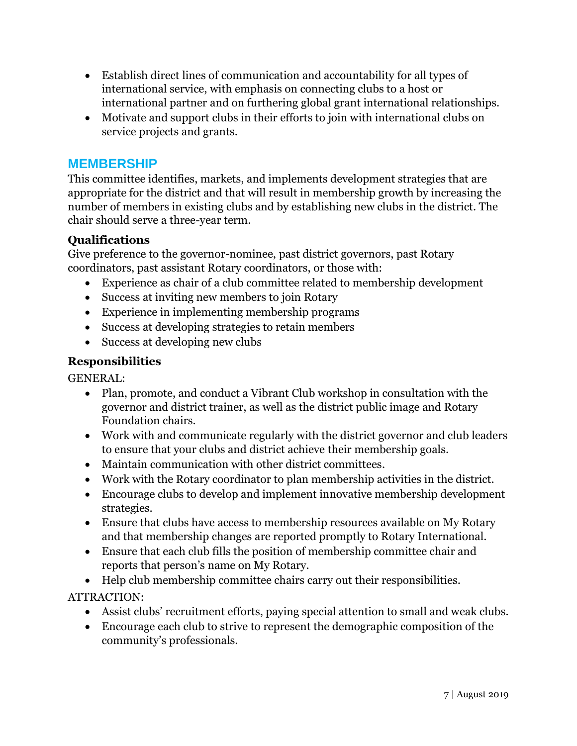- Establish direct lines of communication and accountability for all types of international service, with emphasis on connecting clubs to a host or international partner and on furthering global grant international relationships.
- Motivate and support clubs in their efforts to join with international clubs on service projects and grants.

#### **MEMBERSHIP**

This committee identifies, markets, and implements development strategies that are appropriate for the district and that will result in membership growth by increasing the number of members in existing clubs and by establishing new clubs in the district. The chair should serve a three-year term.

#### **Qualifications**

Give preference to the governor-nominee, past district governors, past Rotary coordinators, past assistant Rotary coordinators, or those with:

- Experience as chair of a club committee related to membership development
- Success at inviting new members to join Rotary
- Experience in implementing membership programs
- Success at developing strategies to retain members
- Success at developing new clubs

#### **Responsibilities**

GENERAL:

- Plan, promote, and conduct a Vibrant Club workshop in consultation with the governor and district trainer, as well as the district public image and Rotary Foundation chairs.
- Work with and communicate regularly with the district governor and club leaders to ensure that your clubs and district achieve their membership goals.
- Maintain communication with other district committees.
- Work with the Rotary coordinator to plan membership activities in the district.
- Encourage clubs to develop and implement innovative membership development strategies.
- Ensure that clubs have access to membership resources available on My Rotary and that membership changes are reported promptly to Rotary International.
- Ensure that each club fills the position of membership committee chair and reports that person's name on My Rotary.
- Help club membership committee chairs carry out their responsibilities.

#### ATTRACTION:

- Assist clubs' recruitment efforts, paying special attention to small and weak clubs.
- Encourage each club to strive to represent the demographic composition of the community's professionals.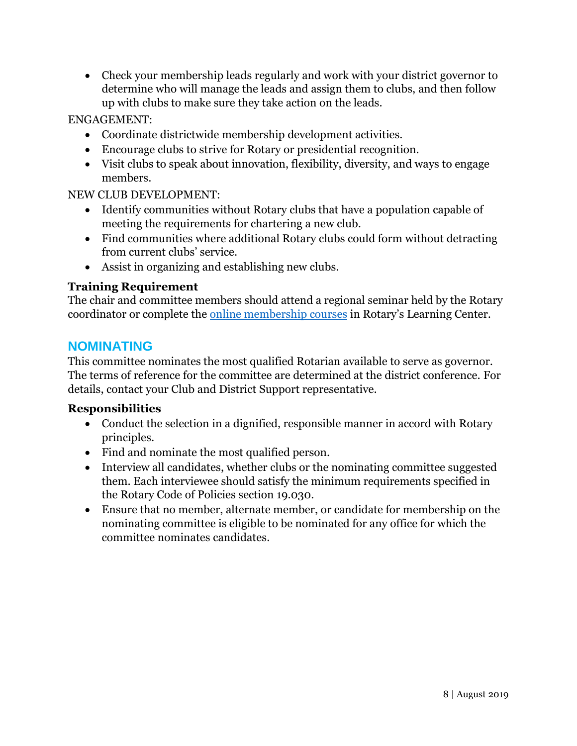Check your membership leads regularly and work with your district governor to determine who will manage the leads and assign them to clubs, and then follow up with clubs to make sure they take action on the leads.

#### ENGAGEMENT:

- Coordinate districtwide membership development activities.
- Encourage clubs to strive for Rotary or presidential recognition.
- Visit clubs to speak about innovation, flexibility, diversity, and ways to engage members.

#### NEW CLUB DEVELOPMENT:

- Identify communities without Rotary clubs that have a population capable of meeting the requirements for chartering a new club.
- Find communities where additional Rotary clubs could form without detracting from current clubs' service.
- Assist in organizing and establishing new clubs.

#### **Training Requirement**

The chair and committee members should attend a regional seminar held by the Rotary coordinator or complete the [online membership courses](https://www.rotary.org/learn) in Rotary's Learning Center.

## **NOMINATING**

This committee nominates the most qualified Rotarian available to serve as governor. The terms of reference for the committee are determined at the district conference. For details, contact your Club and District Support representative.

- Conduct the selection in a dignified, responsible manner in accord with Rotary principles.
- Find and nominate the most qualified person.
- Interview all candidates, whether clubs or the nominating committee suggested them. Each interviewee should satisfy the minimum requirements specified in the Rotary Code of Policies section 19.030.
- Ensure that no member, alternate member, or candidate for membership on the nominating committee is eligible to be nominated for any office for which the committee nominates candidates.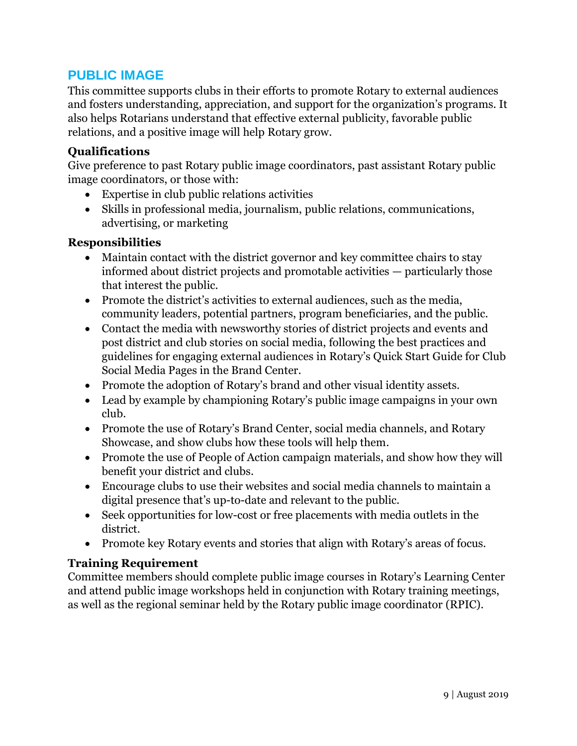## **PUBLIC IMAGE**

This committee supports clubs in their efforts to promote Rotary to external audiences and fosters understanding, appreciation, and support for the organization's programs. It also helps Rotarians understand that effective external publicity, favorable public relations, and a positive image will help Rotary grow.

#### **Qualifications**

Give preference to past Rotary public image coordinators, past assistant Rotary public image coordinators, or those with:

- Expertise in club public relations activities
- Skills in professional media, journalism, public relations, communications, advertising, or marketing

#### **Responsibilities**

- Maintain contact with the district governor and key committee chairs to stay informed about district projects and promotable activities — particularly those that interest the public.
- Promote the district's activities to external audiences, such as the media, community leaders, potential partners, program beneficiaries, and the public.
- Contact the media with newsworthy stories of district projects and events and post district and club stories on social media, following the best practices and guidelines for engaging external audiences in Rotary's Quick Start Guide for Club Social Media Pages in the Brand Center.
- Promote the adoption of Rotary's brand and other visual identity assets.
- Lead by example by championing Rotary's public image campaigns in your own club.
- Promote the use of Rotary's Brand Center, social media channels, and Rotary Showcase, and show clubs how these tools will help them.
- Promote the use of People of Action campaign materials, and show how they will benefit your district and clubs.
- Encourage clubs to use their websites and social media channels to maintain a digital presence that's up-to-date and relevant to the public.
- Seek opportunities for low-cost or free placements with media outlets in the district.
- Promote key Rotary events and stories that align with Rotary's areas of focus.

#### **Training Requirement**

Committee members should complete public image courses in Rotary's Learning Center and attend public image workshops held in conjunction with Rotary training meetings, as well as the regional seminar held by the Rotary public image coordinator (RPIC).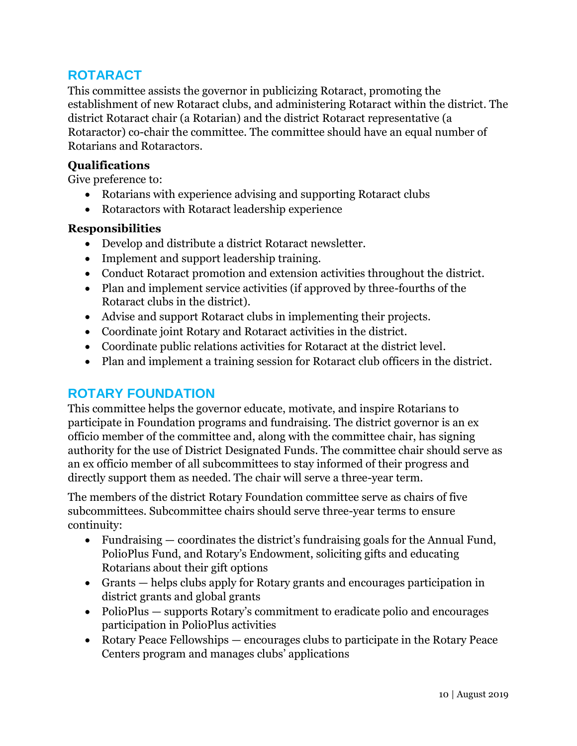## **ROTARACT**

This committee assists the governor in publicizing Rotaract, promoting the establishment of new Rotaract clubs, and administering Rotaract within the district. The district Rotaract chair (a Rotarian) and the district Rotaract representative (a Rotaractor) co-chair the committee. The committee should have an equal number of Rotarians and Rotaractors.

#### **Qualifications**

Give preference to:

- Rotarians with experience advising and supporting Rotaract clubs
- Rotaractors with Rotaract leadership experience

#### **Responsibilities**

- Develop and distribute a district Rotaract newsletter.
- Implement and support leadership training.
- Conduct Rotaract promotion and extension activities throughout the district.
- Plan and implement service activities (if approved by three-fourths of the Rotaract clubs in the district).
- Advise and support Rotaract clubs in implementing their projects.
- Coordinate joint Rotary and Rotaract activities in the district.
- Coordinate public relations activities for Rotaract at the district level.
- Plan and implement a training session for Rotaract club officers in the district.

## **ROTARY FOUNDATION**

This committee helps the governor educate, motivate, and inspire Rotarians to participate in Foundation programs and fundraising. The district governor is an ex officio member of the committee and, along with the committee chair, has signing authority for the use of District Designated Funds. The committee chair should serve as an ex officio member of all subcommittees to stay informed of their progress and directly support them as needed. The chair will serve a three-year term.

The members of the district Rotary Foundation committee serve as chairs of five subcommittees. Subcommittee chairs should serve three-year terms to ensure continuity:

- Fundraising coordinates the district's fundraising goals for the Annual Fund, PolioPlus Fund, and Rotary's Endowment, soliciting gifts and educating Rotarians about their gift options
- Grants helps clubs apply for Rotary grants and encourages participation in district grants and global grants
- PolioPlus supports Rotary's commitment to eradicate polio and encourages participation in PolioPlus activities
- Rotary Peace Fellowships encourages clubs to participate in the Rotary Peace Centers program and manages clubs' applications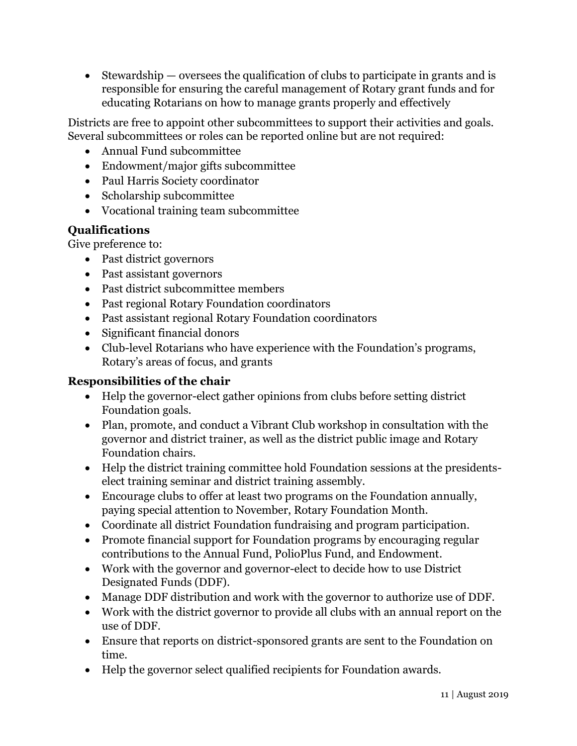$\bullet$  Stewardship — oversees the qualification of clubs to participate in grants and is responsible for ensuring the careful management of Rotary grant funds and for educating Rotarians on how to manage grants properly and effectively

Districts are free to appoint other subcommittees to support their activities and goals. Several subcommittees or roles can be reported online but are not required:

- Annual Fund subcommittee
- Endowment/major gifts subcommittee
- Paul Harris Society coordinator
- Scholarship subcommittee
- Vocational training team subcommittee

## **Qualifications**

Give preference to:

- Past district governors
- Past assistant governors
- Past district subcommittee members
- Past regional Rotary Foundation coordinators
- Past assistant regional Rotary Foundation coordinators
- Significant financial donors
- Club-level Rotarians who have experience with the Foundation's programs, Rotary's areas of focus, and grants

#### **Responsibilities of the chair**

- Help the governor-elect gather opinions from clubs before setting district Foundation goals.
- Plan, promote, and conduct a Vibrant Club workshop in consultation with the governor and district trainer, as well as the district public image and Rotary Foundation chairs.
- Help the district training committee hold Foundation sessions at the presidentselect training seminar and district training assembly.
- Encourage clubs to offer at least two programs on the Foundation annually, paying special attention to November, Rotary Foundation Month.
- Coordinate all district Foundation fundraising and program participation.
- Promote financial support for Foundation programs by encouraging regular contributions to the Annual Fund, PolioPlus Fund, and Endowment.
- Work with the governor and governor-elect to decide how to use District Designated Funds (DDF).
- Manage DDF distribution and work with the governor to authorize use of DDF.
- Work with the district governor to provide all clubs with an annual report on the use of DDF.
- Ensure that reports on district-sponsored grants are sent to the Foundation on time.
- Help the governor select qualified recipients for Foundation awards.